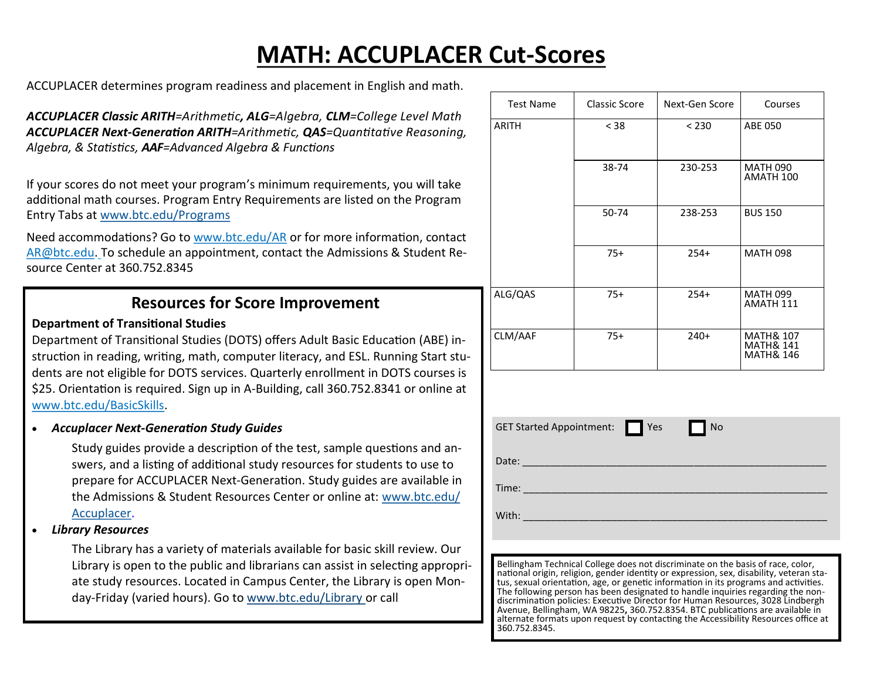## **MATH: ACCUPLACER Cut-Scores**

ACCUPLACER determines program readiness and placement in English and math.

*ACCUPLACER Classic ARITH=Arithmetic, ALG=Algebra, CLM=College Level Math ACCUPLACER Next-Generation ARITH=Arithmetic, QAS=Quantitative Reasoning, Algebra, & Statistics, AAF=Advanced Algebra & Functions*

If your scores do not meet your program's minimum requirements, you will take additional math courses. Program Entry Requirements are listed on the Program Entry Tabs at [www.btc.edu/Programs](https://www.btc.edu/DegreesClasses/Programs/indexPrograms.aspx)

Need accommodations? Go to www.btc.edu/AR or for more information, contact AR@btc.edu. To schedule an appointment, contact the Admissions & Student Resource Center at 360.752.8345

## **Resources for Score Improvement**

## **Department of Transitional Studies**

Department of Transitional Studies (DOTS) offers Adult Basic Education (ABE) instruction in reading, writing, math, computer literacy, and ESL. Running Start students are not eligible for DOTS services. Quarterly enrollment in DOTS courses is \$25. Orientation is required. Sign up in A-Building, call 360.752.8341 or online at www.btc.edu/BasicSkills.

*Accuplacer Next-Generation Study Guides*

Study guides provide a description of the test, sample questions and answers, and a listing of additional study resources for students to use to prepare for ACCUPLACER Next-Generation. Study guides are available in the Admissions & Student Resources Center or online at: [www.btc.edu/](http://www.btc.ctc.edu/Accuplacer) [Accuplacer.](http://www.btc.ctc.edu/Accuplacer)

*Library Resources*

The Library has a variety of materials available for basic skill review. Our Library is open to the public and librarians can assist in selecting appropriate study resources. Located in Campus Center, the Library is open Monday-Friday (varied hours). Go to www.btc.edu/Library or call

| <b>Test Name</b> | <b>Classic Score</b> | Next-Gen Score | Courses                                                              |
|------------------|----------------------|----------------|----------------------------------------------------------------------|
| <b>ARITH</b>     | $<$ 38               | < 230          | <b>ABE 050</b>                                                       |
|                  | 38-74                | 230-253        | <b>MATH 090</b><br>AMATH 100                                         |
|                  | 50-74                | 238-253        | <b>BUS 150</b>                                                       |
|                  | $75+$                | $254+$         | <b>MATH 098</b>                                                      |
| ALG/QAS          | $75+$                | $254+$         | <b>MATH 099</b><br>AMATH 111                                         |
| CLM/AAF          | $75+$                | $240+$         | <b>MATH&amp; 107</b><br><b>MATH&amp; 141</b><br><b>MATH&amp; 146</b> |

| GET Started Appointment: Yes No |  |  |
|---------------------------------|--|--|
|                                 |  |  |
|                                 |  |  |
|                                 |  |  |
|                                 |  |  |

Bellingham Technical College does not discriminate on the basis of race, color, national origin, religion, gender identity or expression, sex, disability, veteran status, sexual orientation, age, or genetic information in its programs and activities. The following person has been designated to handle inquiries regarding the nondiscrimination policies: Executive Director for Human Resources, 3028 Lindbergh Avenue, Bellingham, WA 98225**,** 360.752.8354. BTC publications are available in alternate formats upon request by contacting the Accessibility Resources office at 360.752.8345.